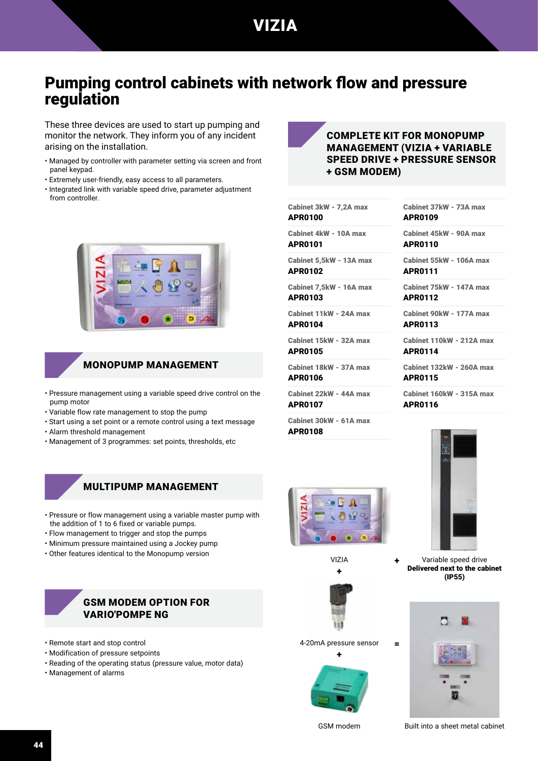# VIZIA

# Pumping control cabinets with network flow and pressure regulation

These three devices are used to start up pumping and monitor the network. They inform you of any incident arising on the installation.

- Managed by controller with parameter setting via screen and front panel keypad.
- Extremely user-friendly, easy access to all parameters.
- Integrated link with variable speed drive, parameter adjustment from controller.



### MONOPUMP MANAGEMENT

- Pressure management using a variable speed drive control on the pump motor
- Variable flow rate management to stop the pump
- Start using a set point or a remote control using a text message
- Alarm threshold management
- Management of 3 programmes: set points, thresholds, etc

## MULTIPUMP MANAGEMENT

- Pressure or flow management using a variable master pump with the addition of 1 to 6 fixed or variable pumps.
- Flow management to trigger and stop the pumps
- Minimum pressure maintained using a Jockey pump
- Other features identical to the Monopump version

#### GSM MODEM OPTION FOR VARIO'POMPE NG

- Remote start and stop control
- Modification of pressure setpoints
- Reading of the operating status (pressure value, motor data)
- Management of alarms



#### COMPLETE KIT FOR MONOPUMP MANAGEMENT (VIZIA + VARIABLE SPEED DRIVE + PRESSURE SENSOR + GSM MODEM)

Cabinet 3kW - 7,2A max APR0100

Cabinet 4kW - 10A max APR0101

Cabinet 5,5kW - 13A max

APR0102

Cabinet 7,5kW - 16A max APR0103

Cabinet 11kW - 24A max APR0104

Cabinet 15kW - 32A max APR0105

Cabinet 18kW - 37A max

APR0106

Cabinet 22kW - 44A max APR0107

Cabinet 30kW - 61A max APR0108

Cabinet 37kW - 73A max APR0109

Cabinet 45kW - 90A max APR0110

Cabinet 55kW - 106A max APR0111

Cabinet 75kW - 147A max APR0112

Cabinet 90kW - 177A max APR0113

Cabinet 110kW - 212A max APR0114

Cabinet 132kW - 260A max APR0115

Cabinet 160kW - 315A max APR0116



VIZIA  $\overline{a}$ 



4-20mA pressure sensor

=

+





Variable speed drive Delivered next to the cabinet

GSM modem Built into a sheet metal cabinet